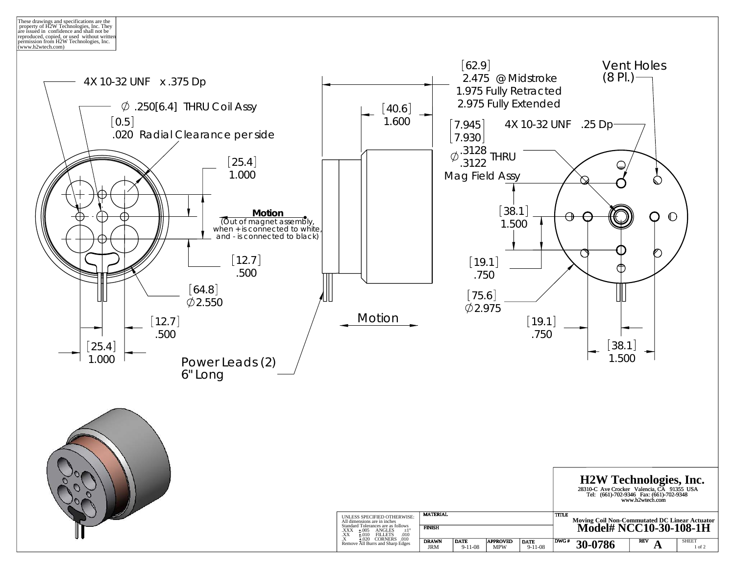